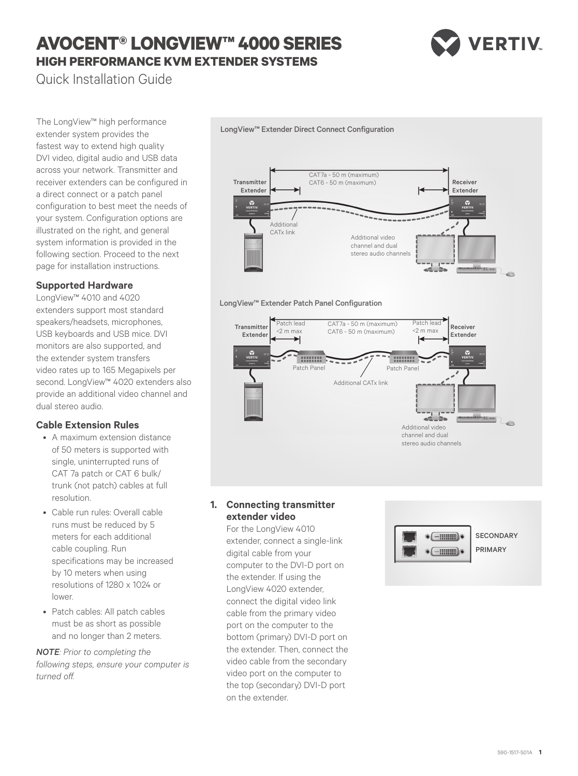# **AVOCENT® LONGVIEW™ 4000 SERIES HIGH PERFORMANCE KVM EXTENDER SYSTEMS**



Quick Installation Guide

The LongView™ high performance extender system provides the fastest way to extend high quality DVI video, digital audio and USB data across your network. Transmitter and receiver extenders can be configured in a direct connect or a patch panel configuration to best meet the needs of your system. Configuration options are illustrated on the right, and general system information is provided in the following section. Proceed to the next page for installation instructions.

# **Supported Hardware**

LongView™ 4010 and 4020 extenders support most standard speakers/headsets, microphones, USB keyboards and USB mice. DVI monitors are also supported, and the extender system transfers video rates up to 165 Megapixels per second. LongView™ 4020 extenders also provide an additional video channel and dual stereo audio.

# **Cable Extension Rules**

- A maximum extension distance of 50 meters is supported with single, uninterrupted runs of CAT 7a patch or CAT 6 bulk/ trunk (not patch) cables at full resolution.
- • Cable run rules: Overall cable runs must be reduced by 5 meters for each additional cable coupling. Run specifications may be increased by 10 meters when using resolutions of 1280 x 1024 or lower.
- Patch cables: All patch cables must be as short as possible and no longer than 2 meters.

*NOTE: Prior to completing the following steps, ensure your computer is turned off.*



### LongView™ Extender Patch Panel Configuration

LongView™ Extender Direct Connect Configuration



# **1. Connecting transmitter extender video**

For the LongView 4010 extender, connect a single-link digital cable from your computer to the DVI-D port on the extender. If using the LongView 4020 extender, connect the digital video link cable from the primary video port on the computer to the bottom (primary) DVI-D port on the extender. Then, connect the video cable from the secondary video port on the computer to the top (secondary) DVI-D port on the extender.



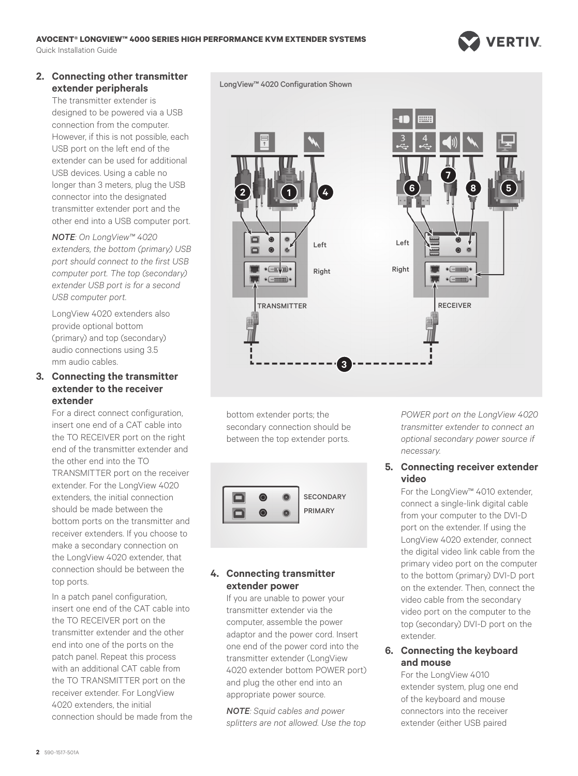#### **AVOCENT® LONGVIEW™ 4000 SERIES HIGH PERFORMANCE KVM EXTENDER SYSTEMS** Quick Installation Guide



# **2. Connecting other transmitter extender peripherals**

The transmitter extender is designed to be powered via a USB connection from the computer. However, if this is not possible, each USB port on the left end of the extender can be used for additional USB devices. Using a cable no longer than 3 meters, plug the USB connector into the designated transmitter extender port and the other end into a USB computer port.

*NOTE: On LongView™ 4020 extenders, the bottom (primary) USB port should connect to the first USB computer port. The top (secondary) extender USB port is for a second USB computer port.*

LongView 4020 extenders also provide optional bottom (primary) and top (secondary) audio connections using 3.5 mm audio cables.

# **3. Connecting the transmitter extender to the receiver extender**

For a direct connect configuration, insert one end of a CAT cable into the TO RECEIVER port on the right end of the transmitter extender and the other end into the TO TRANSMITTER port on the receiver extender. For the LongView 4020 extenders, the initial connection should be made between the bottom ports on the transmitter and receiver extenders. If you choose to make a secondary connection on the LongView 4020 extender, that connection should be between the top ports.

In a patch panel configuration, insert one end of the CAT cable into the TO RECEIVER port on the transmitter extender and the other end into one of the ports on the patch panel. Repeat this process with an additional CAT cable from the TO TRANSMITTER port on the receiver extender. For LongView 4020 extenders, the initial connection should be made from the LongView™ 4020 Configuration Shown



bottom extender ports; the secondary connection should be between the top extender ports.



# **4. Connecting transmitter extender power**

If you are unable to power your transmitter extender via the computer, assemble the power adaptor and the power cord. Insert one end of the power cord into the transmitter extender (LongView 4020 extender bottom POWER port) and plug the other end into an appropriate power source.

*NOTE: Squid cables and power splitters are not allowed. Use the top*  *POWER port on the LongView 4020 transmitter extender to connect an optional secondary power source if necessary.* 

# **5. Connecting receiver extender video**

For the LongView™ 4010 extender, connect a single-link digital cable from your computer to the DVI-D port on the extender. If using the LongView 4020 extender, connect the digital video link cable from the primary video port on the computer to the bottom (primary) DVI-D port on the extender. Then, connect the video cable from the secondary video port on the computer to the top (secondary) DVI-D port on the extender.

# **6. Connecting the keyboard and mouse**

For the LongView 4010 extender system, plug one end of the keyboard and mouse connectors into the receiver extender (either USB paired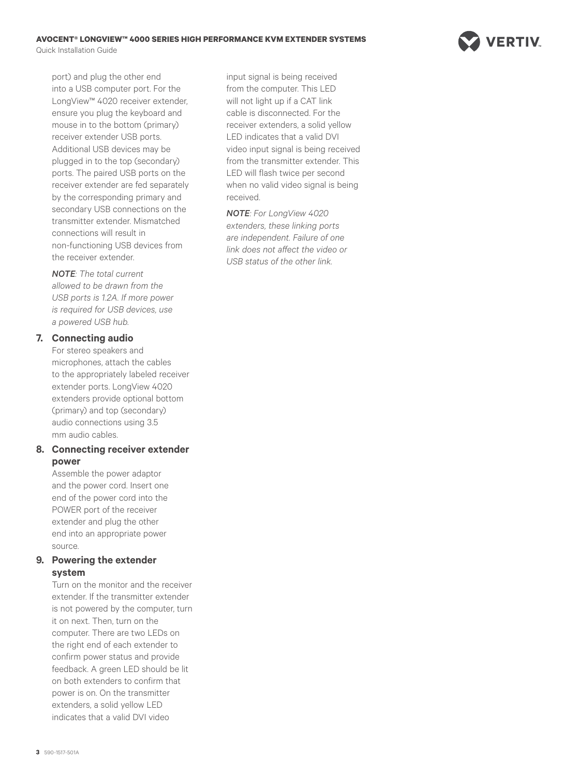

port) and plug the other end into a USB computer port. For the LongView™ 4020 receiver extender, ensure you plug the keyboard and mouse in to the bottom (primary) receiver extender USB ports. Additional USB devices may be plugged in to the top (secondary) ports. The paired USB ports on the receiver extender are fed separately by the corresponding primary and secondary USB connections on the transmitter extender. Mismatched connections will result in non-functioning USB devices from the receiver extender.

*NOTE: The total current allowed to be drawn from the USB ports is 1.2A. If more power is required for USB devices, use a powered USB hub.* 

# **7. Connecting audio**

For stereo speakers and microphones, attach the cables to the appropriately labeled receiver extender ports. LongView 4020 extenders provide optional bottom (primary) and top (secondary) audio connections using 3.5 mm audio cables.

### **8. Connecting receiver extender power**

Assemble the power adaptor and the power cord. Insert one end of the power cord into the POWER port of the receiver extender and plug the other end into an appropriate power source.

### **9. Powering the extender system**

Turn on the monitor and the receiver extender. If the transmitter extender is not powered by the computer, turn it on next. Then, turn on the computer. There are two LEDs on the right end of each extender to confirm power status and provide feedback. A green LED should be lit on both extenders to confirm that power is on. On the transmitter extenders, a solid yellow LED indicates that a valid DVI video

input signal is being received from the computer. This LED will not light up if a CAT link cable is disconnected. For the receiver extenders, a solid yellow LED indicates that a valid DVI video input signal is being received from the transmitter extender. This LED will flash twice per second when no valid video signal is being received.

*NOTE: For LongView 4020 extenders, these linking ports are independent. Failure of one link does not affect the video or USB status of the other link.*